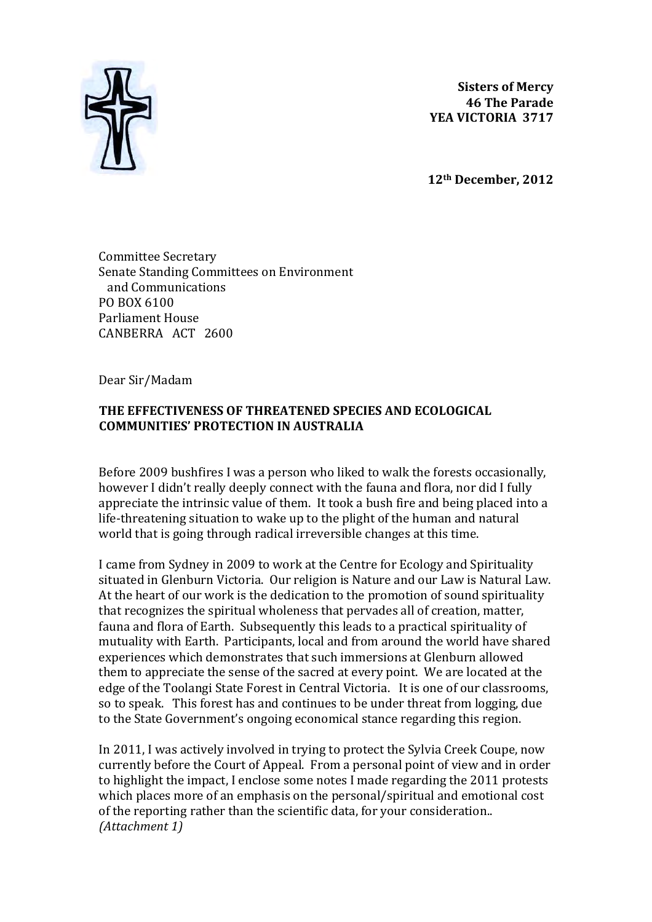

**Sisters of Mercy 46 The Parade** YEA VICTORIA 3717

**12th December, 2012**

Committee Secretary Senate Standing Committees on Environment and Communications PO BOX 6100 Parliament House CANBERRA ACT 2600

Dear Sir/Madam

#### **THE EFFECTIVENESS OF THREATENED SPECIES AND ECOLOGICAL COMMUNITIES' PROTECTION IN AUSTRALIA**

Before 2009 bushfires I was a person who liked to walk the forests occasionally, however I didn't really deeply connect with the fauna and flora, nor did I fully appreciate the intrinsic value of them. It took a bush fire and being placed into a life-threatening situation to wake up to the plight of the human and natural world that is going through radical irreversible changes at this time.

I came from Sydney in 2009 to work at the Centre for Ecology and Spirituality situated in Glenburn Victoria. Our religion is Nature and our Law is Natural Law. At the heart of our work is the dedication to the promotion of sound spirituality that recognizes the spiritual wholeness that pervades all of creation, matter, fauna and flora of Earth. Subsequently this leads to a practical spirituality of mutuality with Earth. Participants, local and from around the world have shared experiences which demonstrates that such immersions at Glenburn allowed them to appreciate the sense of the sacred at every point. We are located at the edge of the Toolangi State Forest in Central Victoria. It is one of our classrooms, so to speak. This forest has and continues to be under threat from logging, due to the State Government's ongoing economical stance regarding this region.

In 2011, I was actively involved in trying to protect the Sylvia Creek Coupe, now currently before the Court of Appeal. From a personal point of view and in order to highlight the impact, I enclose some notes I made regarding the 2011 protests which places more of an emphasis on the personal/spiritual and emotional cost of the reporting rather than the scientific data, for your consideration.. *(Attachment 1)*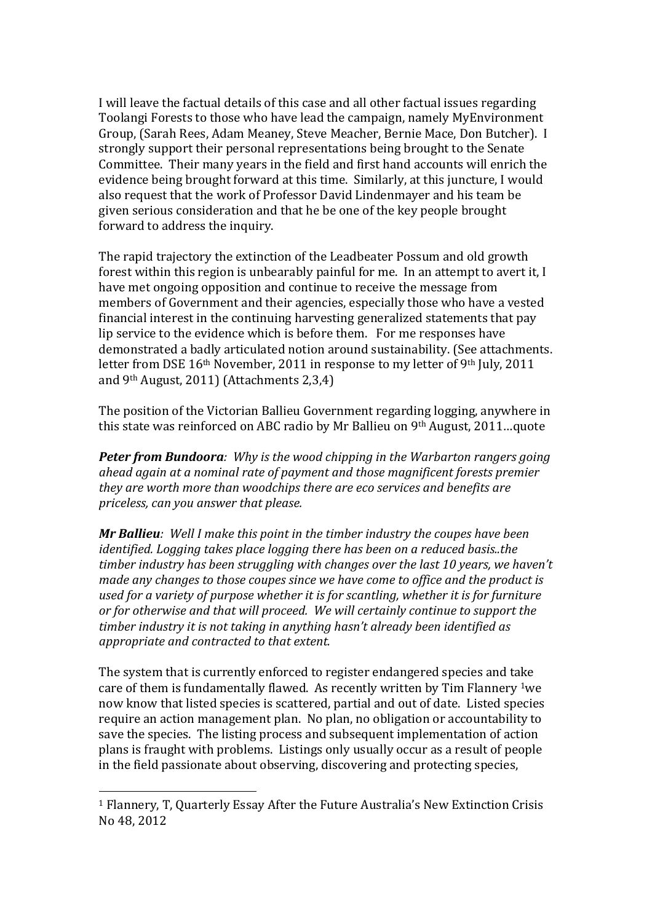I will leave the factual details of this case and all other factual issues regarding Toolangi Forests to those who have lead the campaign, namely MyEnvironment Group, (Sarah Rees, Adam Meaney, Steve Meacher, Bernie Mace, Don Butcher). I strongly support their personal representations being brought to the Senate Committee. Their many years in the field and first hand accounts will enrich the evidence being brought forward at this time. Similarly, at this juncture, I would also request that the work of Professor David Lindenmayer and his team be given serious consideration and that he be one of the key people brought forward to address the inquiry.

The rapid trajectory the extinction of the Leadbeater Possum and old growth forest within this region is unbearably painful for me. In an attempt to avert it, I have met ongoing opposition and continue to receive the message from members of Government and their agencies, especially those who have a vested financial interest in the continuing harvesting generalized statements that pay lip service to the evidence which is before them. For me responses have demonstrated a badly articulated notion around sustainability. (See attachments. letter from DSE  $16<sup>th</sup>$  November, 2011 in response to my letter of 9<sup>th</sup> July, 2011 and  $9<sup>th</sup>$  August, 2011) (Attachments 2,3,4)

The position of the Victorian Ballieu Government regarding logging, anywhere in this state was reinforced on ABC radio by Mr Ballieu on  $9<sup>th</sup>$  August, 2011...quote

**Peter from Bundoora**: Why is the wood chipping in the Warbarton rangers going *ahead again at a nominal rate of payment and those magnificent forests premier they are worth more than woodchips there are eco services and benefits are priceless, can you answer that please.*

*Mr Ballieu: Well I make this point in the timber industry the coupes have been identified. Logging takes place logging there has been on a reduced basis..the* timber industry has been struggling with changes over the last 10 years, we haven't *made any changes to those coupes since we have come to office and the product is* used for a variety of purpose whether it is for scantling, whether it is for furniture or for otherwise and that will proceed. We will certainly continue to support the *timber industry it is not taking in anything hasn't already been identified as appropriate and contracted to that extent.* 

The system that is currently enforced to register endangered species and take care of them is fundamentally flawed. As recently written by Tim Flannery  $1$ we now know that listed species is scattered, partial and out of date. Listed species require an action management plan. No plan, no obligation or accountability to save the species. The listing process and subsequent implementation of action plans is fraught with problems. Listings only usually occur as a result of people in the field passionate about observing, discovering and protecting species,

 

<sup>&</sup>lt;sup>1</sup> Flannery, T, Quarterly Essay After the Future Australia's New Extinction Crisis No 48, 2012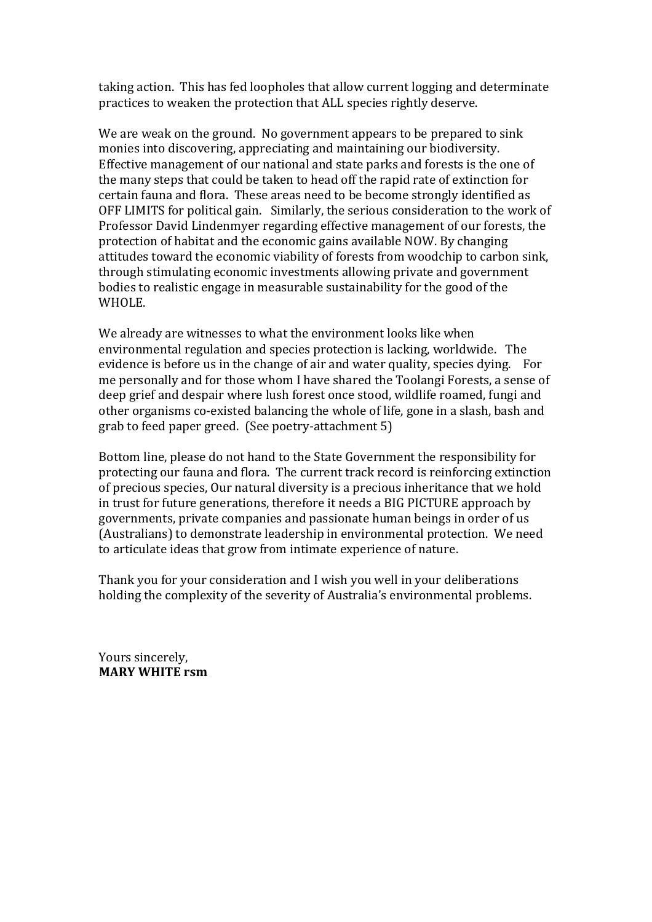taking action. This has fed loopholes that allow current logging and determinate practices to weaken the protection that ALL species rightly deserve.

We are weak on the ground. No government appears to be prepared to sink monies into discovering, appreciating and maintaining our biodiversity. Effective management of our national and state parks and forests is the one of the many steps that could be taken to head off the rapid rate of extinction for certain fauna and flora. These areas need to be become strongly identified as OFF LIMITS for political gain. Similarly, the serious consideration to the work of Professor David Lindenmyer regarding effective management of our forests, the protection of habitat and the economic gains available NOW. By changing attitudes toward the economic viability of forests from woodchip to carbon sink, through stimulating economic investments allowing private and government bodies to realistic engage in measurable sustainability for the good of the WHOLE.

We already are witnesses to what the environment looks like when environmental regulation and species protection is lacking, worldwide. The evidence is before us in the change of air and water quality, species dying. For me personally and for those whom I have shared the Toolangi Forests, a sense of deep grief and despair where lush forest once stood, wildlife roamed, fungi and other organisms co-existed balancing the whole of life, gone in a slash, bash and grab to feed paper greed. (See poetry-attachment 5)

Bottom line, please do not hand to the State Government the responsibility for protecting our fauna and flora. The current track record is reinforcing extinction of precious species, Our natural diversity is a precious inheritance that we hold in trust for future generations, therefore it needs a BIG PICTURE approach by governments, private companies and passionate human beings in order of us (Australians) to demonstrate leadership in environmental protection. We need to articulate ideas that grow from intimate experience of nature.

Thank you for your consideration and I wish you well in your deliberations holding the complexity of the severity of Australia's environmental problems.

Yours sincerely, **MARY WHITE rsm**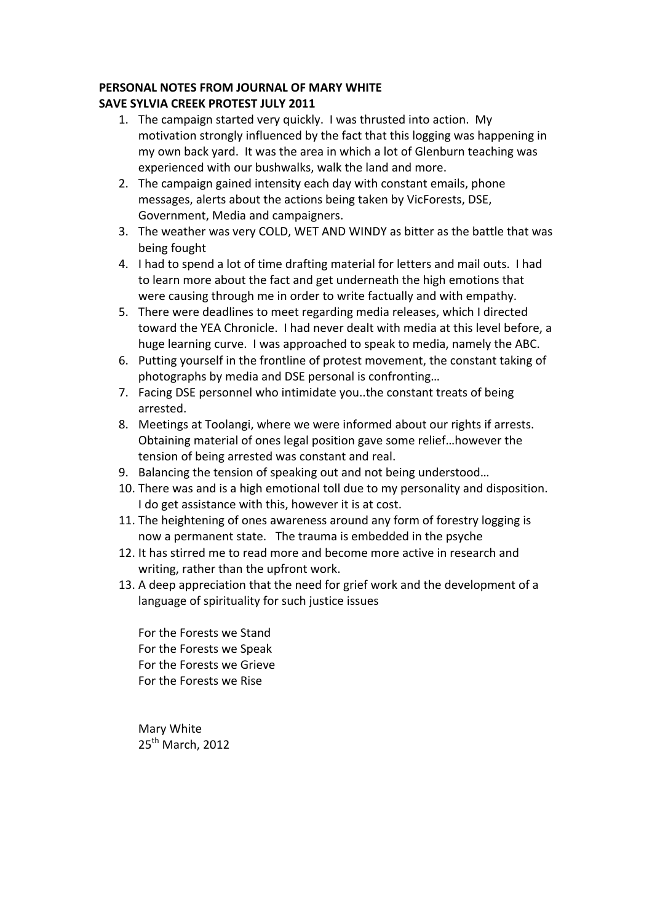# **PERSONAL NOTES FROM JOURNAL OF MARY WHITE**

### **SAVE SYLVIA CREEK PROTEST JULY 2011**

- 1. The campaign started very quickly. I was thrusted into action. My motivation strongly influenced by the fact that this logging was happening in my own back yard. It was the area in which a lot of Glenburn teaching was experienced with our bushwalks, walk the land and more.
- 2. The campaign gained intensity each day with constant emails, phone messages, alerts about the actions being taken by VicForests, DSE, Government, Media and campaigners.
- 3. The weather was very COLD, WET AND WINDY as bitter as the battle that was being fought
- 4. I had to spend a lot of time drafting material for letters and mail outs. I had to learn more about the fact and get underneath the high emotions that were causing through me in order to write factually and with empathy.
- 5. There were deadlines to meet regarding media releases, which I directed toward the YEA Chronicle. I had never dealt with media at this level before, a huge learning curve. I was approached to speak to media, namely the ABC.
- 6. Putting yourself in the frontline of protest movement, the constant taking of photographs by media and DSE personal is confronting...
- 7. Facing DSE personnel who intimidate you..the constant treats of being arrested.
- 8. Meetings at Toolangi, where we were informed about our rights if arrests. Obtaining material of ones legal position gave some relief...however the tension of being arrested was constant and real.
- 9. Balancing the tension of speaking out and not being understood...
- 10. There was and is a high emotional toll due to my personality and disposition. I do get assistance with this, however it is at cost.
- 11. The heightening of ones awareness around any form of forestry logging is now a permanent state. The trauma is embedded in the psyche
- 12. It has stirred me to read more and become more active in research and writing, rather than the upfront work.
- 13. A deep appreciation that the need for grief work and the development of a language of spirituality for such justice issues

For the Forests we Stand For the Forests we Speak For the Forests we Grieve For the Forests we Rise

Mary White 25<sup>th</sup> March, 2012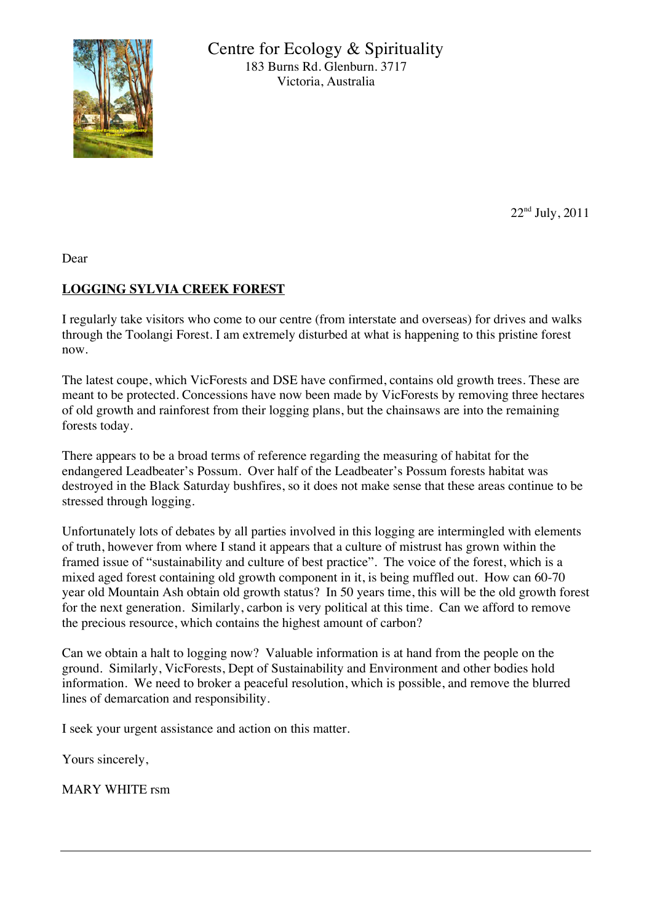

Centre for Ecology & Spirituality 183 Burns Rd. Glenburn. 3717 Victoria, Australia

22nd July, 2011

Dear

## **LOGGING SYLVIA CREEK FOREST**

I regularly take visitors who come to our centre (from interstate and overseas) for drives and walks through the Toolangi Forest. I am extremely disturbed at what is happening to this pristine forest now.

The latest coupe, which VicForests and DSE have confirmed, contains old growth trees. These are meant to be protected. Concessions have now been made by VicForests by removing three hectares of old growth and rainforest from their logging plans, but the chainsaws are into the remaining forests today.

There appears to be a broad terms of reference regarding the measuring of habitat for the endangered Leadbeater's Possum. Over half of the Leadbeater's Possum forests habitat was destroyed in the Black Saturday bushfires, so it does not make sense that these areas continue to be stressed through logging.

Unfortunately lots of debates by all parties involved in this logging are intermingled with elements of truth, however from where I stand it appears that a culture of mistrust has grown within the framed issue of "sustainability and culture of best practice". The voice of the forest, which is a mixed aged forest containing old growth component in it, is being muffled out. How can 60-70 year old Mountain Ash obtain old growth status? In 50 years time, this will be the old growth forest for the next generation. Similarly, carbon is very political at this time. Can we afford to remove the precious resource, which contains the highest amount of carbon?

Can we obtain a halt to logging now? Valuable information is at hand from the people on the ground. Similarly, VicForests, Dept of Sustainability and Environment and other bodies hold information. We need to broker a peaceful resolution, which is possible, and remove the blurred lines of demarcation and responsibility.

I seek your urgent assistance and action on this matter.

Yours sincerely,

MARY WHITE rsm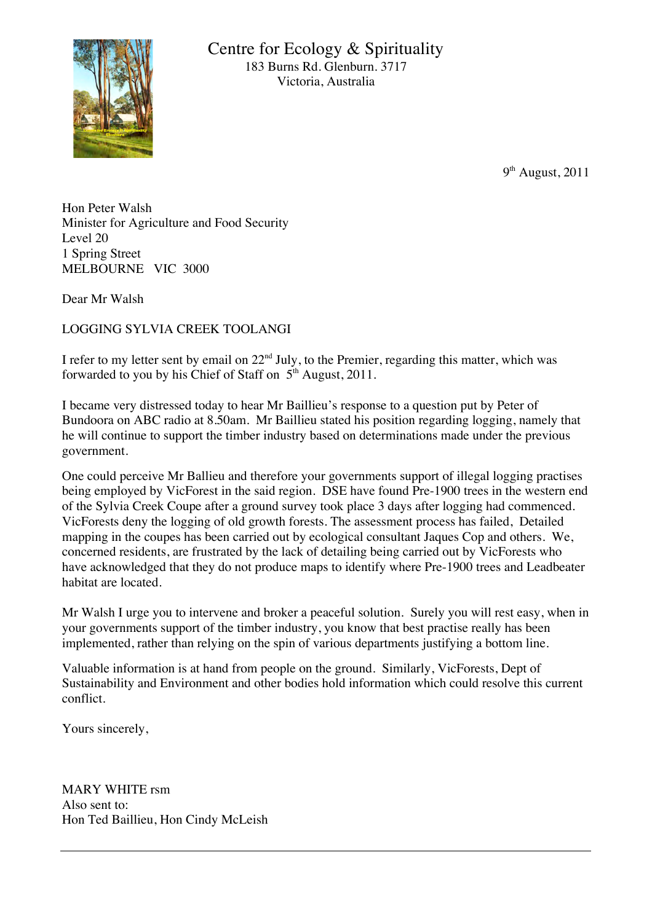

 $9<sup>th</sup>$  August, 2011

Hon Peter Walsh Minister for Agriculture and Food Security Level 20 1 Spring Street MELBOURNE VIC 3000

Dear Mr Walsh

LOGGING SYLVIA CREEK TOOLANGI

I refer to my letter sent by email on  $22<sup>nd</sup>$  July, to the Premier, regarding this matter, which was forwarded to you by his Chief of Staff on  $5<sup>th</sup>$  August, 2011.

I became very distressed today to hear Mr Baillieu's response to a question put by Peter of Bundoora on ABC radio at 8.50am. Mr Baillieu stated his position regarding logging, namely that he will continue to support the timber industry based on determinations made under the previous government.

One could perceive Mr Ballieu and therefore your governments support of illegal logging practises being employed by VicForest in the said region. DSE have found Pre-1900 trees in the western end of the Sylvia Creek Coupe after a ground survey took place 3 days after logging had commenced. VicForests deny the logging of old growth forests. The assessment process has failed, Detailed mapping in the coupes has been carried out by ecological consultant Jaques Cop and others. We, concerned residents, are frustrated by the lack of detailing being carried out by VicForests who have acknowledged that they do not produce maps to identify where Pre-1900 trees and Leadbeater habitat are located.

Mr Walsh I urge you to intervene and broker a peaceful solution. Surely you will rest easy, when in your governments support of the timber industry, you know that best practise really has been implemented, rather than relying on the spin of various departments justifying a bottom line.

Valuable information is at hand from people on the ground. Similarly, VicForests, Dept of Sustainability and Environment and other bodies hold information which could resolve this current conflict.

Yours sincerely,

MARY WHITE rsm Also sent to: Hon Ted Baillieu, Hon Cindy McLeish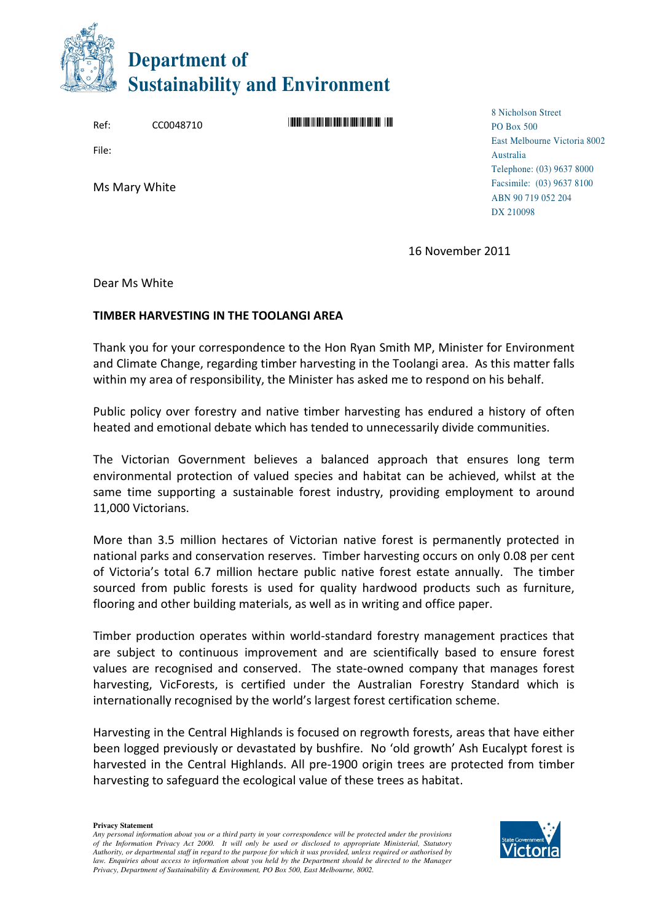

Ref: CC0048710 \*CC0048710\*"

File:

Ms Mary White

8 Nicholson Street PO Box 500 East Melbourne Victoria 8002 Australia Telephone: (03) 9637 8000 Facsimile: (03) 9637 8100 ABN 90 719 052 204 DX 210098

16 November 2011

Dear Ms White

#### TIMBER HARVESTING IN THE TOOLANGI AREA

Thank you for your correspondence to the Hon Ryan Smith MP, Minister for Environment and Climate Change, regarding timber harvesting in the Toolangi area. As this matter falls within my area of responsibility, the Minister has asked me to respond on his behalf.

Public policy over forestry and native timber harvesting has endured a history of often heated and emotional debate which has tended to unnecessarily divide communities.

The Victorian Government believes a balanced approach that ensures long term environmental protection of valued species and habitat can be achieved, whilst at the same time supporting a sustainable forest industry, providing employment to around 11,000 Victorians.

More than 3.5 million hectares of Victorian native forest is permanently protected in national parks and conservation reserves. Timber harvesting occurs on only 0.08 per cent of Victoria's total 6.7 million hectare public native forest estate annually. The timber sourced from public forests is used for quality hardwood products such as furniture, flooring and other building materials, as well as in writing and office paper.

Timber production operates within world-standard forestry management practices that are subject to continuous improvement and are scientifically based to ensure forest values are recognised and conserved. The state-owned company that manages forest harvesting, VicForests, is certified under the Australian Forestry Standard which is internationally recognised by the world's largest forest certification scheme.

Harvesting in the Central Highlands is focused on regrowth forests, areas that have either been logged previously or devastated by bushfire. No 'old growth' Ash Eucalypt forest is harvested in the Central Highlands. All pre-1900 origin trees are protected from timber harvesting to safeguard the ecological value of these trees as habitat.

**Privacy Statement** 

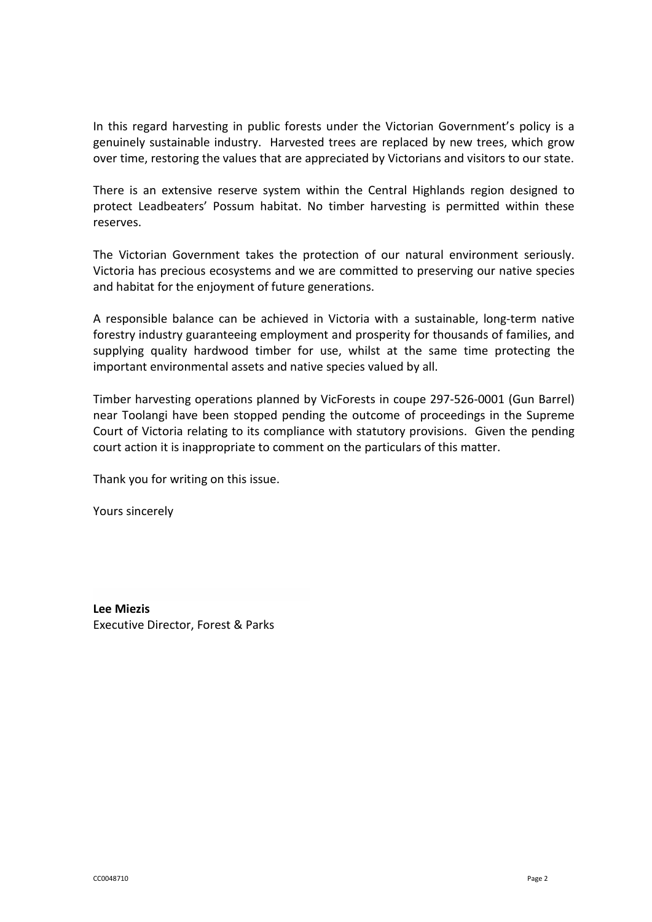In this regard harvesting in public forests under the Victorian Government's policy is a genuinely sustainable industry. Harvested trees are replaced by new trees, which grow over time, restoring the values that are appreciated by Victorians and visitors to our state.

There is an extensive reserve system within the Central Highlands region designed to protect Leadbeaters' Possum habitat. No timber harvesting is permitted within these reserves.

The Victorian Government takes the protection of our natural environment seriously. Victoria has precious ecosystems and we are committed to preserving our native species and habitat for the enjoyment of future generations.

A responsible balance can be achieved in Victoria with a sustainable, long-term native forestry industry guaranteeing employment and prosperity for thousands of families, and supplying quality hardwood timber for use, whilst at the same time protecting the important environmental assets and native species valued by all.

Timber harvesting operations planned by VicForests in coupe 297-526-0001 (Gun Barrel) near Toolangi have been stopped pending the outcome of proceedings in the Supreme Court of Victoria relating to its compliance with statutory provisions. Given the pending court action it is inappropriate to comment on the particulars of this matter.

Thank you for writing on this issue.

Yours sincerely

Lee Miezis Executive Director, Forest & Parks